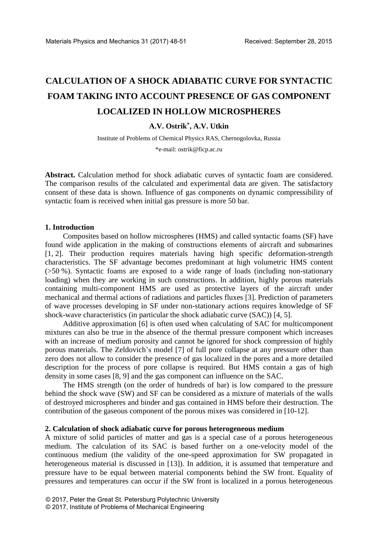# **CALCULATION OF A SHOCK ADIABATIC CURVE FOR SYNTACTIC FOAM TAKING INTO ACCOUNT PRESENCE OF GAS COMPONENT LOCALIZED IN HOLLOW MICROSPHERES**

# **A.V. Ostrik\* , A.V. Utkin**

Institute of Problems of Chemical Physics RAS, Chernogolovka, Russia

\*e-mail: ostrik@ficp.ac.ru

**Abstract.** Calculation method for shock adiabatic curves of syntactic foam are considered. The comparison results of the calculated and experimental data are given. The satisfactory consent of these data is shown. Influence of gas components on dynamic compressibility of syntactic foam is received when initial gas pressure is more 50 bar*.*

#### **1. Introduction**

Composites based on hollow microspheres (HMS) and called syntactic foams (SF) have found wide application in the making of constructions elements of aircraft and submarines [1, 2]. Their production requires materials having high specific deformation-strength characteristics. The SF advantage becomes predominant at high volumetric HMS content (>50 %). Syntactic foams are exposed to a wide range of loads (including non-stationary loading) when they are working in such constructions. In addition, highly porous materials containing multi-component HMS are used as protective layers of the aircraft under mechanical and thermal actions of radiations and particles fluxes [3]. Prediction of parameters of wave processes developing in SF under non-stationary actions requires knowledge of SF shock-wave characteristics (in particular the shock adiabatic curve (SAC)) [4, 5].

Additive approximation [6] is often used when calculating of SAC for multicomponent mixtures can also be true in the absence of the thermal pressure component which increases with an increase of medium porosity and cannot be ignored for shock compression of highly porous materials. The Zeldovich's model [7] of full pore collapse at any pressure other than zero does not allow to consider the presence of gas localized in the pores and a more detailed description for the process of pore collapse is required. But HMS contain a gas of high density in some cases [8, 9] and the gas component can influence on the SAC.

The HMS strength (on the order of hundreds of bar) is low compared to the pressure behind the shock wave (SW) and SF can be considered as a mixture of materials of the walls of destroyed microspheres and binder and gas contained in HMS before their destruction. The contribution of the gaseous component of the porous mixes was considered in [10-12].

## **2. Calculation of shock adiabatic curve for porous heterogeneous medium**

A mixture of solid particles of matter and gas is a special case of a porous heterogeneous medium. The calculation of its SAC is based further on a one-velocity model of the continuous medium (the validity of the one-speed approximation for SW propagated in heterogeneous material is discussed in [13]). In addition, it is assumed that temperature and pressure have to be equal between material components behind the SW front. Equality of pressures and temperatures can occur if the SW front is localized in a porous heterogeneous